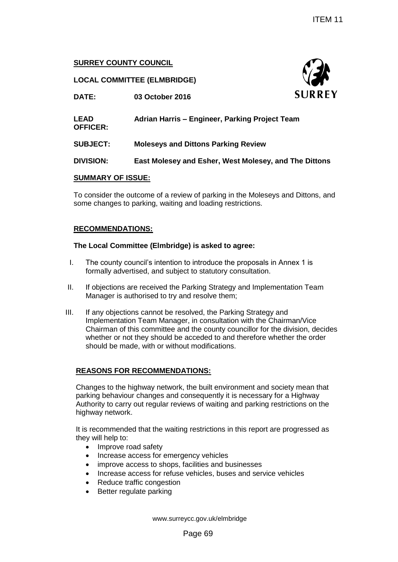# **SURREY COUNTY COUNCIL**

# **LOCAL COMMITTEE (ELMBRIDGE)**



|                                                                             |                                                                                                                                                                                                                                                | <b>ITEM 11</b>                                                                                                                                                   |
|-----------------------------------------------------------------------------|------------------------------------------------------------------------------------------------------------------------------------------------------------------------------------------------------------------------------------------------|------------------------------------------------------------------------------------------------------------------------------------------------------------------|
| <b>SURREY COUNTY COUNCIL</b>                                                |                                                                                                                                                                                                                                                |                                                                                                                                                                  |
|                                                                             | <b>LOCAL COMMITTEE (ELMBRIDGE)</b>                                                                                                                                                                                                             |                                                                                                                                                                  |
| DATE:                                                                       | 03 October 2016                                                                                                                                                                                                                                | <b>SURREY</b>                                                                                                                                                    |
| <b>LEAD</b><br><b>OFFICER:</b>                                              | Adrian Harris - Engineer, Parking Project Team                                                                                                                                                                                                 |                                                                                                                                                                  |
| <b>SUBJECT:</b>                                                             | <b>Moleseys and Dittons Parking Review</b>                                                                                                                                                                                                     |                                                                                                                                                                  |
| <b>DIVISION:</b>                                                            |                                                                                                                                                                                                                                                | East Molesey and Esher, West Molesey, and The Dittons                                                                                                            |
| <b>SUMMARY OF ISSUE:</b>                                                    |                                                                                                                                                                                                                                                |                                                                                                                                                                  |
|                                                                             | some changes to parking, waiting and loading restrictions.                                                                                                                                                                                     | To consider the outcome of a review of parking in the Moleseys and Dittons, and                                                                                  |
| <b>RECOMMENDATIONS:</b>                                                     |                                                                                                                                                                                                                                                |                                                                                                                                                                  |
|                                                                             | The Local Committee (Elmbridge) is asked to agree:                                                                                                                                                                                             |                                                                                                                                                                  |
|                                                                             | The county council's intention to introduce the proposals in Annex 1 is<br>formally advertised, and subject to statutory consultation.                                                                                                         |                                                                                                                                                                  |
|                                                                             | Manager is authorised to try and resolve them;                                                                                                                                                                                                 | If objections are received the Parking Strategy and Implementation Team                                                                                          |
|                                                                             | If any objections cannot be resolved, the Parking Strategy and<br>Implementation Team Manager, in consultation with the Chairman/Vice<br>should be made, with or without modifications.                                                        | Chairman of this committee and the county councillor for the division, decides<br>whether or not they should be acceded to and therefore whether the order       |
|                                                                             | <b>REASONS FOR RECOMMENDATIONS:</b>                                                                                                                                                                                                            |                                                                                                                                                                  |
| highway network.                                                            | parking behaviour changes and consequently it is necessary for a Highway                                                                                                                                                                       | Changes to the highway network, the built environment and society mean that<br>Authority to carry out regular reviews of waiting and parking restrictions on the |
| they will help to:<br>$\bullet$<br>$\bullet$<br>٠<br>$\bullet$<br>$\bullet$ | Improve road safety<br>Increase access for emergency vehicles<br>improve access to shops, facilities and businesses<br>Increase access for refuse vehicles, buses and service vehicles<br>Reduce traffic congestion<br>Better regulate parking | It is recommended that the waiting restrictions in this report are progressed as                                                                                 |
|                                                                             | www.surreycc.gov.uk/elmbridge                                                                                                                                                                                                                  |                                                                                                                                                                  |
|                                                                             | Page 69                                                                                                                                                                                                                                        |                                                                                                                                                                  |

## **SUMMARY OF ISSUE:**

## **RECOMMENDATIONS:**

## **The Local Committee (Elmbridge) is asked to agree:**

- I. The county council's intention to introduce the proposals in Annex 1 is formally advertised, and subject to statutory consultation.
- II. If objections are received the Parking Strategy and Implementation Team Manager is authorised to try and resolve them;
- III. If any objections cannot be resolved, the Parking Strategy and Implementation Team Manager, in consultation with the Chairman/Vice Chairman of this committee and the county councillor for the division, decides whether or not they should be acceded to and therefore whether the order should be made, with or without modifications.

## **REASONS FOR RECOMMENDATIONS:**

- Improve road safety
- Increase access for emergency vehicles
- improve access to shops, facilities and businesses
- Increase access for refuse vehicles, buses and service vehicles
- Reduce traffic congestion
- Better regulate parking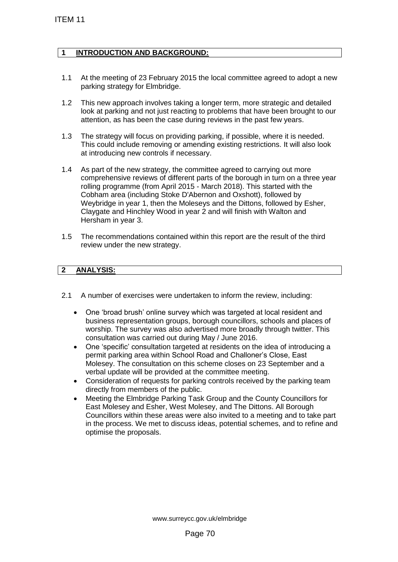# **1 INTRODUCTION AND BACKGROUND:**

- 1.1 At the meeting of 23 February 2015 the local committee agreed to adopt a new parking strategy for Elmbridge.
- 1.2 This new approach involves taking a longer term, more strategic and detailed look at parking and not just reacting to problems that have been brought to our attention, as has been the case during reviews in the past few years.
- 1.3 The strategy will focus on providing parking, if possible, where it is needed. This could include removing or amending existing restrictions. It will also look at introducing new controls if necessary.
- 1.4 As part of the new strategy, the committee agreed to carrying out more comprehensive reviews of different parts of the borough in turn on a three year rolling programme (from April 2015 - March 2018). This started with the Cobham area (including Stoke D'Abernon and Oxshott), followed by Weybridge in year 1, then the Moleseys and the Dittons, followed by Esher, Claygate and Hinchley Wood in year 2 and will finish with Walton and Hersham in year 3. TEM 11<br>
11 INTRODUCTION AND BACKGROUND:<br>
11 INTRODUCTION AND BACKGROUND:<br>
11 At the meeting of 23 February 2015 the lo<br>
parking strategy for Elmbridge.<br>
12 This new approach involves taking a long<br>
idention, as has been th
	- 1.5 The recommendations contained within this report are the result of the third review under the new strategy.

# **2 ANALYSIS:**

- 2.1 A number of exercises were undertaken to inform the review, including:
	- One 'broad brush' online survey which was targeted at local resident and business representation groups, borough councillors, schools and places of worship. The survey was also advertised more broadly through twitter. This consultation was carried out during May / June 2016.
	- One 'specific' consultation targeted at residents on the idea of introducing a permit parking area within School Road and Challoner's Close, East Molesey. The consultation on this scheme closes on 23 September and a verbal update will be provided at the committee meeting.
	- Consideration of requests for parking controls received by the parking team directly from members of the public.
	- Meeting the Elmbridge Parking Task Group and the County Councillors for East Molesey and Esher, West Molesey, and The Dittons. All Borough Councillors within these areas were also invited to a meeting and to take part in the process. We met to discuss ideas, potential schemes, and to refine and optimise the proposals.

www.surreycc.gov.uk/elmbridge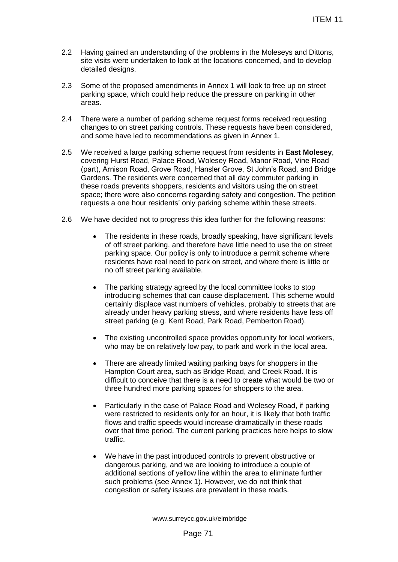- 2.2 Having gained an understanding of the problems in the Moleseys and Dittons, site visits were undertaken to look at the locations concerned, and to develop detailed designs.
- 2.3 Some of the proposed amendments in Annex 1 will look to free up on street parking space, which could help reduce the pressure on parking in other areas.
- 2.4 There were a number of parking scheme request forms received requesting changes to on street parking controls. These requests have been considered, and some have led to recommendations as given in Annex 1.
- 2.5 We received a large parking scheme request from residents in **East Molesey**, covering Hurst Road, Palace Road, Wolesey Road, Manor Road, Vine Road (part), Arnison Road, Grove Road, Hansler Grove, St John's Road, and Bridge Gardens. The residents were concerned that all day commuter parking in these roads prevents shoppers, residents and visitors using the on street space; there were also concerns regarding safety and congestion. The petition requests a one hour residents' only parking scheme within these streets. ITEM 11<br>g of the problems in the Moleseys and Dittons,<br>ok at the locations concerned, and to develop<br>pents in Annex 1 will look to free up on street<br>reduce the pressure on parking in other<br>started induces the pressure of p
- 2.6 We have decided not to progress this idea further for the following reasons:
	- The residents in these roads, broadly speaking, have significant levels of off street parking, and therefore have little need to use the on street parking space. Our policy is only to introduce a permit scheme where residents have real need to park on street, and where there is little or no off street parking available.
	- The parking strategy agreed by the local committee looks to stop introducing schemes that can cause displacement. This scheme would certainly displace vast numbers of vehicles, probably to streets that are already under heavy parking stress, and where residents have less off street parking (e.g. Kent Road, Park Road, Pemberton Road).
	- The existing uncontrolled space provides opportunity for local workers, who may be on relatively low pay, to park and work in the local area.
	- There are already limited waiting parking bays for shoppers in the Hampton Court area, such as Bridge Road, and Creek Road. It is difficult to conceive that there is a need to create what would be two or three hundred more parking spaces for shoppers to the area.
	- Particularly in the case of Palace Road and Wolesey Road, if parking were restricted to residents only for an hour, it is likely that both traffic flows and traffic speeds would increase dramatically in these roads over that time period. The current parking practices here helps to slow traffic.
	- We have in the past introduced controls to prevent obstructive or dangerous parking, and we are looking to introduce a couple of additional sections of yellow line within the area to eliminate further such problems (see Annex 1). However, we do not think that congestion or safety issues are prevalent in these roads.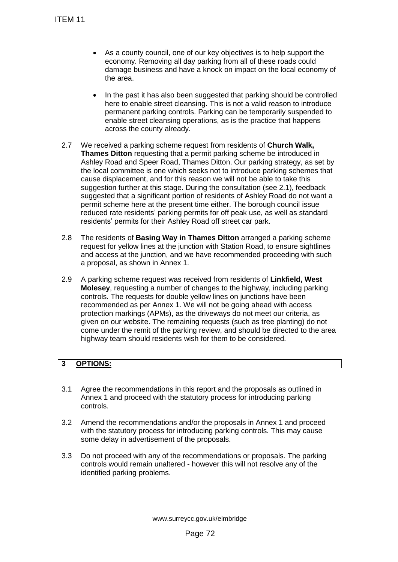- As a county council, one of our key objectives is to help support the economy. Removing all day parking from all of these roads could damage business and have a knock on impact on the local economy of the area.
- In the past it has also been suggested that parking should be controlled here to enable street cleansing. This is not a valid reason to introduce permanent parking controls. Parking can be temporarily suspended to enable street cleansing operations, as is the practice that happens across the county already.
- 2.7 We received a parking scheme request from residents of **Church Walk, Thames Ditton** requesting that a permit parking scheme be introduced in Ashley Road and Speer Road, Thames Ditton. Our parking strategy, as set by the local committee is one which seeks not to introduce parking schemes that cause displacement, and for this reason we will not be able to take this suggestion further at this stage. During the consultation (see 2.1), feedback suggested that a significant portion of residents of Ashley Road do not want a permit scheme here at the present time either. The borough council issue reduced rate residents' parking permits for off peak use, as well as standard residents' permits for their Ashley Road off street car park. TEM 11<br>
• As a county council, one of our ke<br>
economy. Removing all day parkin<br>
dramage business and have a kno<br>
the area.<br>
• In the past it has also been sugge<br>
here to enable street cleansing. To<br>
permanent parking contr
	- 2.8 The residents of **Basing Way in Thames Ditton** arranged a parking scheme request for yellow lines at the junction with Station Road, to ensure sightlines and access at the junction, and we have recommended proceeding with such a proposal, as shown in Annex 1.
	- 2.9 A parking scheme request was received from residents of **Linkfield, West Molesey**, requesting a number of changes to the highway, including parking controls. The requests for double yellow lines on junctions have been recommended as per Annex 1. We will not be going ahead with access protection markings (APMs), as the driveways do not meet our criteria, as given on our website. The remaining requests (such as tree planting) do not come under the remit of the parking review, and should be directed to the area highway team should residents wish for them to be considered.

# **3 OPTIONS:**

- 3.1 Agree the recommendations in this report and the proposals as outlined in Annex 1 and proceed with the statutory process for introducing parking controls.
- 3.2 Amend the recommendations and/or the proposals in Annex 1 and proceed with the statutory process for introducing parking controls. This may cause some delay in advertisement of the proposals.
- 3.3 Do not proceed with any of the recommendations or proposals. The parking controls would remain unaltered - however this will not resolve any of the identified parking problems.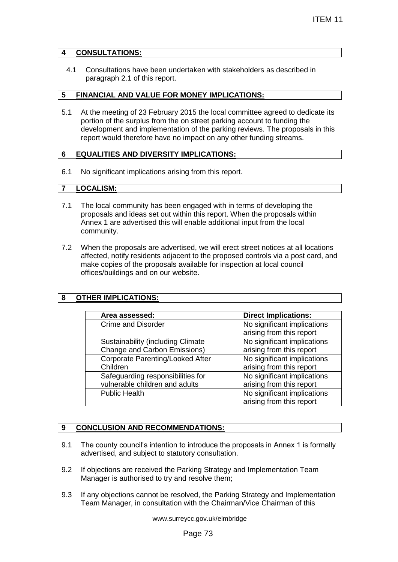## **4 CONSULTATIONS:**

4.1 Consultations have been undertaken with stakeholders as described in paragraph 2.1 of this report.

#### **5 FINANCIAL AND VALUE FOR MONEY IMPLICATIONS:**

5.1 At the meeting of 23 February 2015 the local committee agreed to dedicate its portion of the surplus from the on street parking account to funding the development and implementation of the parking reviews. The proposals in this report would therefore have no impact on any other funding streams.

## **6 EQUALITIES AND DIVERSITY IMPLICATIONS:**

6.1 No significant implications arising from this report.

## **7 LOCALISM:**

- 7.1 The local community has been engaged with in terms of developing the proposals and ideas set out within this report. When the proposals within Annex 1 are advertised this will enable additional input from the local community.
- 7.2 When the proposals are advertised, we will erect street notices at all locations affected, notify residents adjacent to the proposed controls via a post card, and make copies of the proposals available for inspection at local council offices/buildings and on our website.

## **8 OTHER IMPLICATIONS:**

|                                                                                                                                                                                                                                                                                                                                                                                                                                                                                                                                 | ITEM 11                                                 |  |  |
|---------------------------------------------------------------------------------------------------------------------------------------------------------------------------------------------------------------------------------------------------------------------------------------------------------------------------------------------------------------------------------------------------------------------------------------------------------------------------------------------------------------------------------|---------------------------------------------------------|--|--|
| <b>NSULTATIONS:</b>                                                                                                                                                                                                                                                                                                                                                                                                                                                                                                             |                                                         |  |  |
| Consultations have been undertaken with stakeholders as described in<br>paragraph 2.1 of this report.                                                                                                                                                                                                                                                                                                                                                                                                                           |                                                         |  |  |
| IANCIAL AND VALUE FOR MONEY IMPLICATIONS:                                                                                                                                                                                                                                                                                                                                                                                                                                                                                       |                                                         |  |  |
| t the meeting of 23 February 2015 the local committee agreed to dedicate its<br>ortion of the surplus from the on street parking account to funding the<br>evelopment and implementation of the parking reviews. The proposals in this<br>port would therefore have no impact on any other funding streams.                                                                                                                                                                                                                     |                                                         |  |  |
| UALITIES AND DIVERSITY IMPLICATIONS:                                                                                                                                                                                                                                                                                                                                                                                                                                                                                            |                                                         |  |  |
| o significant implications arising from this report.                                                                                                                                                                                                                                                                                                                                                                                                                                                                            |                                                         |  |  |
| <b>CALISM:</b>                                                                                                                                                                                                                                                                                                                                                                                                                                                                                                                  |                                                         |  |  |
| he local community has been engaged with in terms of developing the<br>roposals and ideas set out within this report. When the proposals within<br>nnex 1 are advertised this will enable additional input from the local<br>ommunity.<br>hen the proposals are advertised, we will erect street notices at all locations<br>ffected, notify residents adjacent to the proposed controls via a post card, and<br>lake copies of the proposals available for inspection at local council<br>ffices/buildings and on our website. |                                                         |  |  |
| <b>HER IMPLICATIONS:</b>                                                                                                                                                                                                                                                                                                                                                                                                                                                                                                        |                                                         |  |  |
|                                                                                                                                                                                                                                                                                                                                                                                                                                                                                                                                 |                                                         |  |  |
| Area assessed:                                                                                                                                                                                                                                                                                                                                                                                                                                                                                                                  | <b>Direct Implications:</b>                             |  |  |
| <b>Crime and Disorder</b>                                                                                                                                                                                                                                                                                                                                                                                                                                                                                                       | No significant implications<br>arising from this report |  |  |
| Sustainability (including Climate                                                                                                                                                                                                                                                                                                                                                                                                                                                                                               | No significant implications                             |  |  |
| Change and Carbon Emissions)                                                                                                                                                                                                                                                                                                                                                                                                                                                                                                    | arising from this report                                |  |  |
| <b>Corporate Parenting/Looked After</b>                                                                                                                                                                                                                                                                                                                                                                                                                                                                                         | No significant implications                             |  |  |
| Children                                                                                                                                                                                                                                                                                                                                                                                                                                                                                                                        | arising from this report                                |  |  |
| Safeguarding responsibilities for<br>vulnerable children and adults                                                                                                                                                                                                                                                                                                                                                                                                                                                             | No significant implications<br>arising from this report |  |  |
| <b>Public Health</b>                                                                                                                                                                                                                                                                                                                                                                                                                                                                                                            | No significant implications                             |  |  |
|                                                                                                                                                                                                                                                                                                                                                                                                                                                                                                                                 | arising from this report                                |  |  |
|                                                                                                                                                                                                                                                                                                                                                                                                                                                                                                                                 |                                                         |  |  |
|                                                                                                                                                                                                                                                                                                                                                                                                                                                                                                                                 |                                                         |  |  |
| <b>NCLUSION AND RECOMMENDATIONS:</b>                                                                                                                                                                                                                                                                                                                                                                                                                                                                                            |                                                         |  |  |
| he county council's intention to introduce the proposals in Annex 1 is formally<br>dvertised, and subject to statutory consultation.                                                                                                                                                                                                                                                                                                                                                                                            |                                                         |  |  |
| objections are received the Parking Strategy and Implementation Team<br>lanager is authorised to try and resolve them;                                                                                                                                                                                                                                                                                                                                                                                                          |                                                         |  |  |
| any objections cannot be resolved, the Parking Strategy and Implementation<br>eam Manager, in consultation with the Chairman/Vice Chairman of this                                                                                                                                                                                                                                                                                                                                                                              |                                                         |  |  |
| www.surreycc.gov.uk/elmbridge                                                                                                                                                                                                                                                                                                                                                                                                                                                                                                   |                                                         |  |  |
| Page 73                                                                                                                                                                                                                                                                                                                                                                                                                                                                                                                         |                                                         |  |  |

## **9 CONCLUSION AND RECOMMENDATIONS:**

- 9.1 The county council's intention to introduce the proposals in Annex 1 is formally advertised, and subject to statutory consultation.
- 9.2 If objections are received the Parking Strategy and Implementation Team Manager is authorised to try and resolve them;
- 9.3 If any objections cannot be resolved, the Parking Strategy and Implementation Team Manager, in consultation with the Chairman/Vice Chairman of this